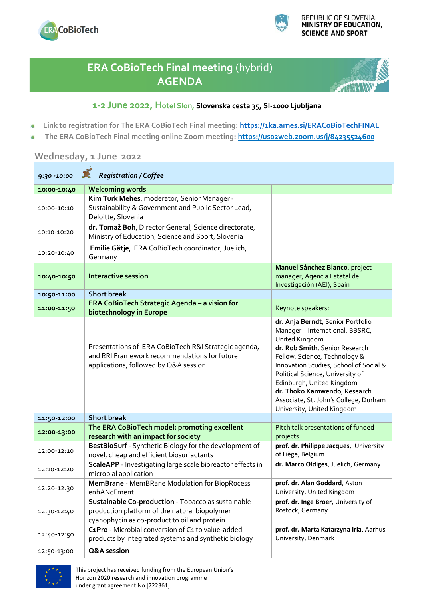



## **ERA CoBioTech Final meeting** (hybrid) **AGENDA**



## **1-2 June 2022, Hotel Slon, Slovenska cesta 35, SI-1000 Ljubljana**

- **Link to registration for The ERA CoBioTech Final meeting: <https://1ka.arnes.si/ERACoBioTechFINAL>** ó
- **The ERA CoBioTech Final meeting online Zoom meeting:<https://us02web.zoom.us/j/84235524600>** ó

## **Wednesday, 1 June 2022**

| 9:30 - 10:00 | <b>Registration / Coffee</b>                                                                                                                        |                                                                                                                                                                                                                                                                                                                                                                           |
|--------------|-----------------------------------------------------------------------------------------------------------------------------------------------------|---------------------------------------------------------------------------------------------------------------------------------------------------------------------------------------------------------------------------------------------------------------------------------------------------------------------------------------------------------------------------|
| 10:00-10:40  | <b>Welcoming words</b>                                                                                                                              |                                                                                                                                                                                                                                                                                                                                                                           |
| 10:00-10:10  | Kim Turk Mehes, moderator, Senior Manager -<br>Sustainability & Government and Public Sector Lead,<br>Deloitte, Slovenia                            |                                                                                                                                                                                                                                                                                                                                                                           |
| 10:10-10:20  | dr. Tomaž Boh, Director General, Science directorate,<br>Ministry of Education, Science and Sport, Slovenia                                         |                                                                                                                                                                                                                                                                                                                                                                           |
| 10:20-10:40  | Emilie Gätje, ERA CoBioTech coordinator, Juelich,<br>Germany                                                                                        |                                                                                                                                                                                                                                                                                                                                                                           |
| 10:40-10:50  | <b>Interactive session</b>                                                                                                                          | Manuel Sánchez Blanco, project<br>manager, Agencia Estatal de<br>Investigación (AEI), Spain                                                                                                                                                                                                                                                                               |
| 10:50-11:00  | <b>Short break</b>                                                                                                                                  |                                                                                                                                                                                                                                                                                                                                                                           |
| 11:00-11:50  | ERA CoBioTech Strategic Agenda - a vision for<br>biotechnology in Europe                                                                            | Keynote speakers:                                                                                                                                                                                                                                                                                                                                                         |
|              | Presentations of ERA CoBioTech R&I Strategic agenda,<br>and RRI Framework recommendations for future<br>applications, followed by Q&A session       | dr. Anja Berndt, Senior Portfolio<br>Manager-International, BBSRC,<br>United Kingdom<br>dr. Rob Smith, Senior Research<br>Fellow, Science, Technology &<br>Innovation Studies, School of Social &<br>Political Science, University of<br>Edinburgh, United Kingdom<br>dr. Thoko Kamwendo, Research<br>Associate, St. John's College, Durham<br>University, United Kingdom |
| 11:50-12:00  | <b>Short break</b>                                                                                                                                  |                                                                                                                                                                                                                                                                                                                                                                           |
| 12:00-13:00  | The ERA CoBioTech model: promoting excellent<br>research with an impact for society                                                                 | Pitch talk presentations of funded<br>projects                                                                                                                                                                                                                                                                                                                            |
| 12:00-12:10  | BestBioSurf - Synthetic Biology for the development of<br>novel, cheap and efficient biosurfactants                                                 | prof. dr. Philippe Jacques, University<br>of Liège, Belgium                                                                                                                                                                                                                                                                                                               |
| 12:10-12:20  | ScaleAPP - Investigating large scale bioreactor effects in<br>microbial application                                                                 | dr. Marco Oldiges, Juelich, Germany                                                                                                                                                                                                                                                                                                                                       |
| 12.20-12.30  | MemBrane - MemBRane Modulation for BiopRocess<br>enhANcEment                                                                                        | prof. dr. Alan Goddard, Aston<br>University, United Kingdom                                                                                                                                                                                                                                                                                                               |
| 12.30-12:40  | Sustainable Co-production - Tobacco as sustainable<br>production platform of the natural biopolymer<br>cyanophycin as co-product to oil and protein | prof. dr. Inge Broer, University of<br>Rostock, Germany                                                                                                                                                                                                                                                                                                                   |
| 12:40-12:50  | C <sub>1</sub> Pro - Microbial conversion of C <sub>1</sub> to value-added<br>products by integrated systems and synthetic biology                  | prof. dr. Marta Katarzyna Irla, Aarhus<br>University, Denmark                                                                                                                                                                                                                                                                                                             |
| 12:50-13:00  | Q&A session                                                                                                                                         |                                                                                                                                                                                                                                                                                                                                                                           |



This project has received funding from the European Union's Horizon 2020 research and innovation programme under grant agreement No [722361].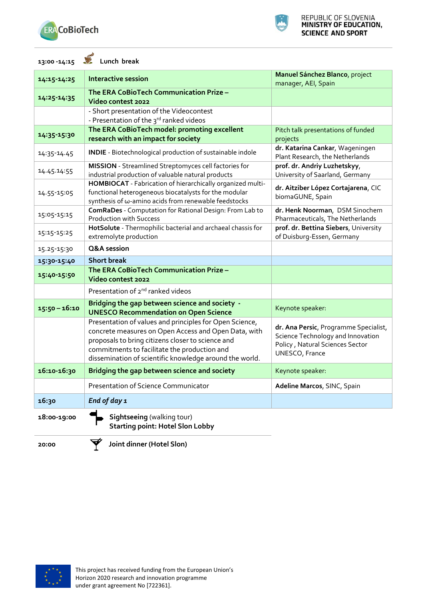

**13:00 -14:15 Lunch break**



| 13:00 - 14:15<br><b>Example 19</b> LUNCH DIEAR |                                                                                                                                                                                                                                                                                 |                                                                                                                                 |  |  |
|------------------------------------------------|---------------------------------------------------------------------------------------------------------------------------------------------------------------------------------------------------------------------------------------------------------------------------------|---------------------------------------------------------------------------------------------------------------------------------|--|--|
| 14:15-14:25                                    | <b>Interactive session</b>                                                                                                                                                                                                                                                      | Manuel Sánchez Blanco, project<br>manager, AEI, Spain                                                                           |  |  |
| 14:25-14:35                                    | The ERA CoBioTech Communication Prize -<br>Video contest 2022                                                                                                                                                                                                                   |                                                                                                                                 |  |  |
|                                                | - Short presentation of the Videocontest<br>- Presentation of the 3rd ranked videos                                                                                                                                                                                             |                                                                                                                                 |  |  |
| 14:35-15:30                                    | The ERA CoBioTech model: promoting excellent<br>research with an impact for society                                                                                                                                                                                             | Pitch talk presentations of funded<br>projects                                                                                  |  |  |
| 14:35-14.45                                    | <b>INDIE</b> - Biotechnological production of sustainable indole                                                                                                                                                                                                                | dr. Katarina Cankar, Wageningen<br>Plant Research, the Netherlands                                                              |  |  |
| 14.45.14:55                                    | <b>MISSION</b> - Streamlined Streptomyces cell factories for<br>industrial production of valuable natural products                                                                                                                                                              | prof. dr. Andriy Luzhetskyy,<br>University of Saarland, Germany                                                                 |  |  |
| 14.55-15:05                                    | HOMBIOCAT - Fabrication of hierarchically organized multi-<br>functional heterogeneous biocatalysts for the modular<br>synthesis of w-amino acids from renewable feedstocks                                                                                                     | dr. Aitziber López Cortajarena, CIC<br>biomaGUNE, Spain                                                                         |  |  |
| 15:05-15:15                                    | ComRaDes - Computation for Rational Design: From Lab to<br><b>Production with Success</b>                                                                                                                                                                                       | dr. Henk Noorman, DSM Sinochem<br>Pharmaceuticals, The Netherlands                                                              |  |  |
| 15:15-15:25                                    | HotSolute - Thermophilic bacterial and archaeal chassis for<br>extremolyte production                                                                                                                                                                                           | prof. dr. Bettina Siebers, University<br>of Duisburg-Essen, Germany                                                             |  |  |
| 15.25-15:30                                    | Q&A session                                                                                                                                                                                                                                                                     |                                                                                                                                 |  |  |
| 15:30-15:40                                    | <b>Short break</b>                                                                                                                                                                                                                                                              |                                                                                                                                 |  |  |
| 15:40-15:50                                    | The ERA CoBioTech Communication Prize -<br>Video contest 2022                                                                                                                                                                                                                   |                                                                                                                                 |  |  |
|                                                | Presentation of 2 <sup>nd</sup> ranked videos                                                                                                                                                                                                                                   |                                                                                                                                 |  |  |
| $15:50 - 16:10$                                | Bridging the gap between science and society -<br><b>UNESCO Recommendation on Open Science</b>                                                                                                                                                                                  | Keynote speaker:                                                                                                                |  |  |
|                                                | Presentation of values and principles for Open Science,<br>concrete measures on Open Access and Open Data, with<br>proposals to bring citizens closer to science and<br>commitments to facilitate the production and<br>dissemination of scientific knowledge around the world. | dr. Ana Persic, Programme Specialist,<br>Science Technology and Innovation<br>Policy, Natural Sciences Sector<br>UNESCO, France |  |  |
| 16:10-16:30                                    | Bridging the gap between science and society                                                                                                                                                                                                                                    | Keynote speaker:                                                                                                                |  |  |
|                                                | Presentation of Science Communicator                                                                                                                                                                                                                                            | Adeline Marcos, SINC, Spain                                                                                                     |  |  |
| 16:30                                          | End of day 1                                                                                                                                                                                                                                                                    |                                                                                                                                 |  |  |
| 18:00-19:00                                    | Sightseeing (walking tour)<br><b>Starting point: Hotel Slon Lobby</b>                                                                                                                                                                                                           |                                                                                                                                 |  |  |

**20:00****Joint dinner (Hotel Slon)**

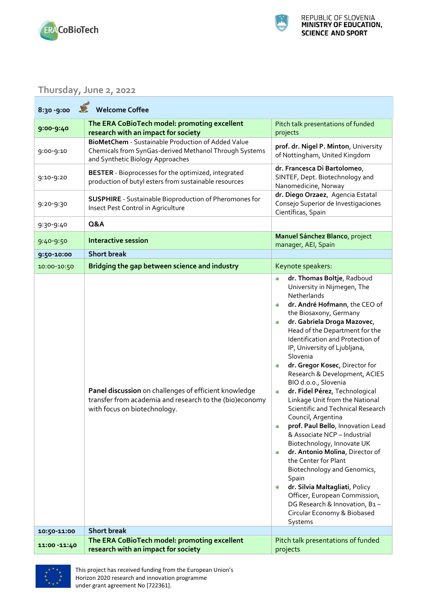



## **Thursday, June 2, 2022**

| <b>Welcome Coffee</b><br>8:30 -9:00 |                                                                                                                                                         |                                                                                                                                                                                                                                                                                                                                                                                                                                                                                                                                                                                                                                                                                                                                                                                                                                                                                                  |  |
|-------------------------------------|---------------------------------------------------------------------------------------------------------------------------------------------------------|--------------------------------------------------------------------------------------------------------------------------------------------------------------------------------------------------------------------------------------------------------------------------------------------------------------------------------------------------------------------------------------------------------------------------------------------------------------------------------------------------------------------------------------------------------------------------------------------------------------------------------------------------------------------------------------------------------------------------------------------------------------------------------------------------------------------------------------------------------------------------------------------------|--|
| 9:00-9:40                           | The ERA CoBioTech model: promoting excellent<br>research with an impact for society                                                                     | Pitch talk presentations of funded<br>projects                                                                                                                                                                                                                                                                                                                                                                                                                                                                                                                                                                                                                                                                                                                                                                                                                                                   |  |
| 9:00-9:10                           | <b>BioMetChem</b> - Sustainable Production of Added Value<br>Chemicals from SynGas-derived Methanol Through Systems<br>and Synthetic Biology Approaches | prof. dr. Nigel P. Minton, University<br>of Nottingham, United Kingdom                                                                                                                                                                                                                                                                                                                                                                                                                                                                                                                                                                                                                                                                                                                                                                                                                           |  |
| 9:10-9:20                           | <b>BESTER</b> - Bioprocesses for the optimized, integrated<br>production of butyl esters from sustainable resources                                     | dr. Francesca Di Bartolomeo,<br>SINTEF, Dept. Biotechnology and<br>Nanomedicine, Norway                                                                                                                                                                                                                                                                                                                                                                                                                                                                                                                                                                                                                                                                                                                                                                                                          |  |
| 9:20-9:30                           | <b>SUSPHIRE</b> - Sustainable Bioproduction of Pheromones for<br>Insect Pest Control in Agriculture                                                     | dr. Diego Orzaez, Agencia Estatal<br>Consejo Superior de Investigaciones<br>Científicas, Spain                                                                                                                                                                                                                                                                                                                                                                                                                                                                                                                                                                                                                                                                                                                                                                                                   |  |
| 9:30-9:40                           | <b>Q&amp;A</b>                                                                                                                                          |                                                                                                                                                                                                                                                                                                                                                                                                                                                                                                                                                                                                                                                                                                                                                                                                                                                                                                  |  |
| 9:40-9:50                           | <b>Interactive session</b>                                                                                                                              | Manuel Sánchez Blanco, project<br>manager, AEI, Spain                                                                                                                                                                                                                                                                                                                                                                                                                                                                                                                                                                                                                                                                                                                                                                                                                                            |  |
| 9:50-10:00                          | <b>Short break</b>                                                                                                                                      |                                                                                                                                                                                                                                                                                                                                                                                                                                                                                                                                                                                                                                                                                                                                                                                                                                                                                                  |  |
| 10:00-10:50                         | Bridging the gap between science and industry                                                                                                           | Keynote speakers:                                                                                                                                                                                                                                                                                                                                                                                                                                                                                                                                                                                                                                                                                                                                                                                                                                                                                |  |
|                                     | Panel discussion on challenges of efficient knowledge<br>transfer from academia and research to the (bio)economy<br>with focus on biotechnology.        | dr. Thomas Boltje, Radboud<br>٥<br>University in Nijmegen, The<br>Netherlands<br>dr. André Hofmann, the CEO of<br>the Biosaxony, Germany<br>dr. Gabriela Droga Mazovec,<br>Head of the Department for the<br>Identification and Protection of<br>IP, University of Ljubljana,<br>Slovenia<br>dr. Gregor Kosec, Director for<br>٠<br>Research & Development, ACIES<br>BIO d.o.o., Slovenia<br>dr. Fidel Pérez, Technological<br>G<br>Linkage Unit from the National<br>Scientific and Technical Research<br>Council, Argentina<br>prof. Paul Bello, Innovation Lead<br>G<br>& Associate NCP - Industrial<br>Biotechnology, Innovate UK<br>dr. Antonio Molina, Director of<br>G<br>the Center for Plant<br>Biotechnology and Genomics,<br>Spain<br>dr. Silvia Maltagliati, Policy<br>G<br>Officer, European Commission,<br>DG Research & Innovation, B1-<br>Circular Economy & Biobased<br>Systems |  |
| 10:50-11:00                         | <b>Short break</b>                                                                                                                                      |                                                                                                                                                                                                                                                                                                                                                                                                                                                                                                                                                                                                                                                                                                                                                                                                                                                                                                  |  |
| 11:00 - 11:40                       | The ERA CoBioTech model: promoting excellent<br>research with an impact for society                                                                     | Pitch talk presentations of funded<br>projects                                                                                                                                                                                                                                                                                                                                                                                                                                                                                                                                                                                                                                                                                                                                                                                                                                                   |  |